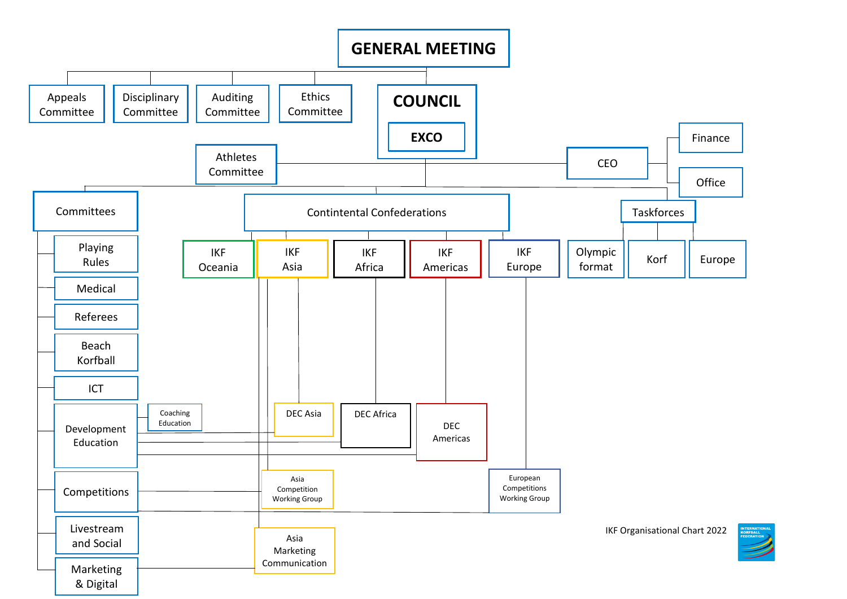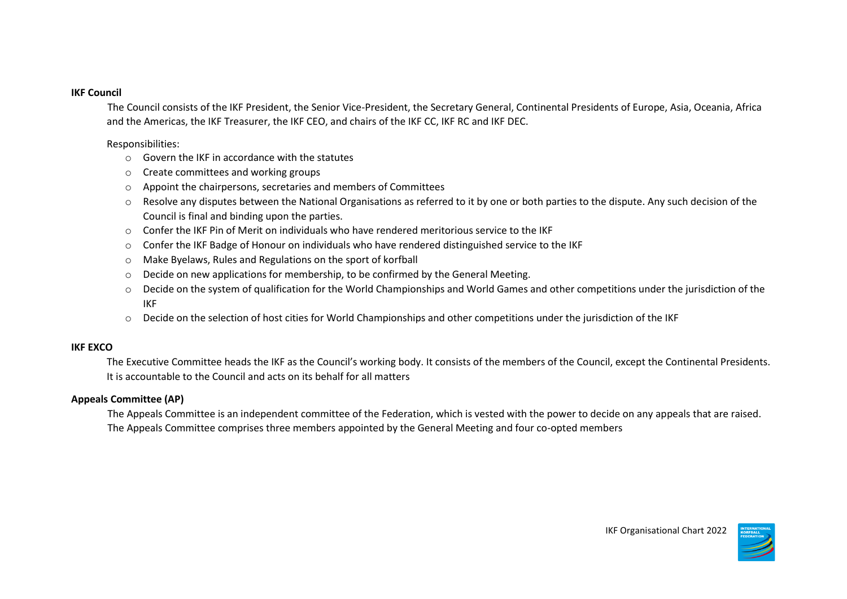#### **IKF Council**

The Council consists of the IKF President, the Senior Vice-President, the Secretary General, Continental Presidents of Europe, Asia, Oceania, Africa and the Americas, the IKF Treasurer, the IKF CEO, and chairs of the IKF CC, IKF RC and IKF DEC.

Responsibilities:

- $\circ$  Govern the IKF in accordance with the statutes
- o Create committees and working groups
- o Appoint the chairpersons, secretaries and members of Committees
- o Resolve any disputes between the National Organisations as referred to it by one or both parties to the dispute. Any such decision of the Council is final and binding upon the parties.
- o Confer the IKF Pin of Merit on individuals who have rendered meritorious service to the IKF
- o Confer the IKF Badge of Honour on individuals who have rendered distinguished service to the IKF
- o Make Byelaws, Rules and Regulations on the sport of korfball
- o Decide on new applications for membership, to be confirmed by the General Meeting.
- o Decide on the system of qualification for the World Championships and World Games and other competitions under the jurisdiction of the IKF
- o Decide on the selection of host cities for World Championships and other competitions under the jurisdiction of the IKF

## **IKF EXCO**

The Executive Committee heads the IKF as the Council's working body. It consists of the members of the Council, except the Continental Presidents. It is accountable to the Council and acts on its behalf for all matters

## **Appeals Committee (AP)**

The Appeals Committee is an independent committee of the Federation, which is vested with the power to decide on any appeals that are raised. The Appeals Committee comprises three members appointed by the General Meeting and four co-opted members

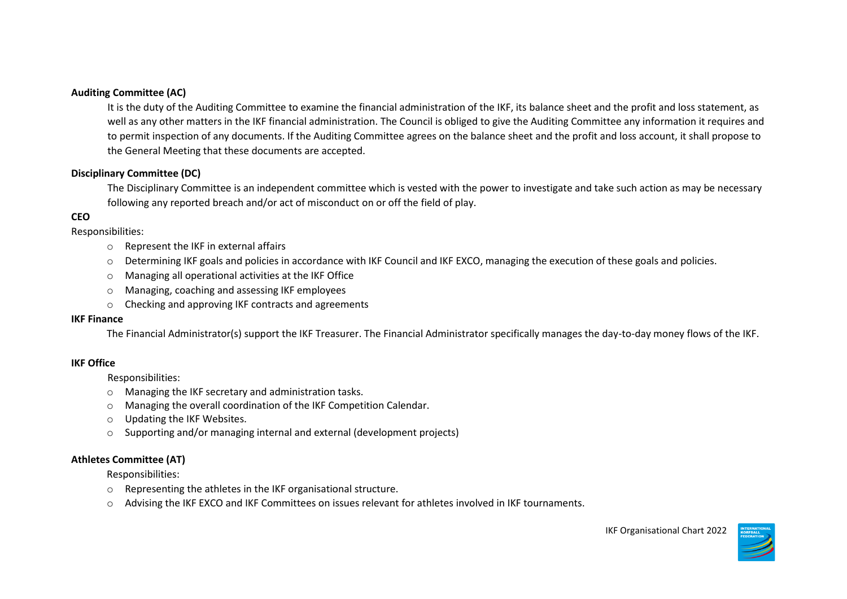## **Auditing Committee (AC)**

It is the duty of the Auditing Committee to examine the financial administration of the IKF, its balance sheet and the profit and loss statement, as well as any other matters in the IKF financial administration. The Council is obliged to give the Auditing Committee any information it requires and to permit inspection of any documents. If the Auditing Committee agrees on the balance sheet and the profit and loss account, it shall propose to the General Meeting that these documents are accepted.

## **Disciplinary Committee (DC)**

The Disciplinary Committee is an independent committee which is vested with the power to investigate and take such action as may be necessary following any reported breach and/or act of misconduct on or off the field of play.

## **CEO**

Responsibilities:

- o Represent the IKF in external affairs
- o Determining IKF goals and policies in accordance with IKF Council and IKF EXCO, managing the execution of these goals and policies.
- o Managing all operational activities at the IKF Office
- o Managing, coaching and assessing IKF employees
- o Checking and approving IKF contracts and agreements

#### **IKF Finance**

The Financial Administrator(s) support the IKF Treasurer. The Financial Administrator specifically manages the day-to-day money flows of the IKF.

### **IKF Office**

Responsibilities:

- o Managing the IKF secretary and administration tasks.
- o Managing the overall coordination of the IKF Competition Calendar.
- o Updating the IKF Websites.
- o Supporting and/or managing internal and external (development projects)

## **Athletes Committee (AT)**

Responsibilities:

- o Representing the athletes in the IKF organisational structure.
- o Advising the IKF EXCO and IKF Committees on issues relevant for athletes involved in IKF tournaments.

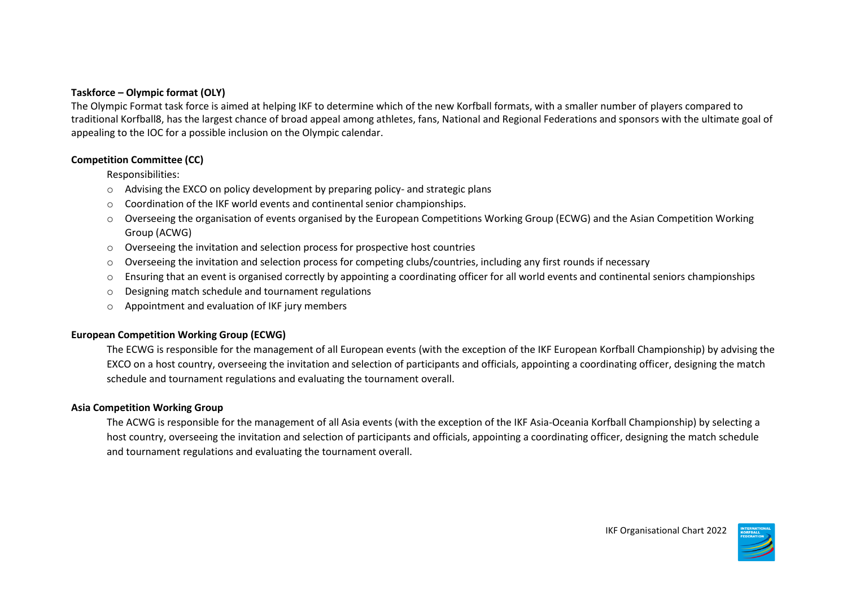## **Taskforce – Olympic format (OLY)**

The Olympic Format task force is aimed at helping IKF to determine which of the new Korfball formats, with a smaller number of players compared to traditional Korfball8, has the largest chance of broad appeal among athletes, fans, National and Regional Federations and sponsors with the ultimate goal of appealing to the IOC for a possible inclusion on the Olympic calendar.

### **Competition Committee (CC)**

Responsibilities:

- o Advising the EXCO on policy development by preparing policy- and strategic plans
- $\circ$  Coordination of the IKF world events and continental senior championships.
- o Overseeing the organisation of events organised by the European Competitions Working Group (ECWG) and the Asian Competition Working Group (ACWG)
- $\circ$  Overseeing the invitation and selection process for prospective host countries
- $\circ$  Overseeing the invitation and selection process for competing clubs/countries, including any first rounds if necessary
- o Ensuring that an event is organised correctly by appointing a coordinating officer for all world events and continental seniors championships
- o Designing match schedule and tournament regulations
- $\circ$  Appointment and evaluation of IKF jury members

### **European Competition Working Group (ECWG)**

The ECWG is responsible for the management of all European events (with the exception of the IKF European Korfball Championship) by advising the EXCO on a host country, overseeing the invitation and selection of participants and officials, appointing a coordinating officer, designing the match schedule and tournament regulations and evaluating the tournament overall.

### **Asia Competition Working Group**

The ACWG is responsible for the management of all Asia events (with the exception of the IKF Asia-Oceania Korfball Championship) by selecting a host country, overseeing the invitation and selection of participants and officials, appointing a coordinating officer, designing the match schedule and tournament regulations and evaluating the tournament overall.

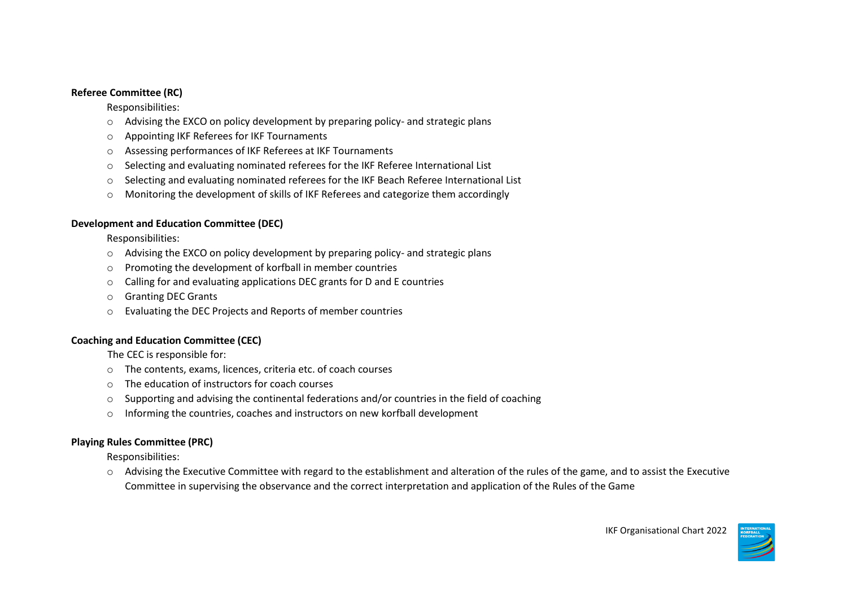## **Referee Committee (RC)**

Responsibilities:

- o Advising the EXCO on policy development by preparing policy- and strategic plans
- o Appointing IKF Referees for IKF Tournaments
- o Assessing performances of IKF Referees at IKF Tournaments
- o Selecting and evaluating nominated referees for the IKF Referee International List
- $\circ$  Selecting and evaluating nominated referees for the IKF Beach Referee International List
- o Monitoring the development of skills of IKF Referees and categorize them accordingly

## **Development and Education Committee (DEC)**

Responsibilities:

- o Advising the EXCO on policy development by preparing policy- and strategic plans
- o Promoting the development of korfball in member countries
- o Calling for and evaluating applications DEC grants for D and E countries
- o Granting DEC Grants
- o Evaluating the DEC Projects and Reports of member countries

# **Coaching and Education Committee (CEC)**

The CEC is responsible for:

- o The contents, exams, licences, criteria etc. of coach courses
- o The education of instructors for coach courses
- $\circ$  Supporting and advising the continental federations and/or countries in the field of coaching
- o Informing the countries, coaches and instructors on new korfball development

# **Playing Rules Committee (PRC)**

Responsibilities:

 $\circ$  Advising the Executive Committee with regard to the establishment and alteration of the rules of the game, and to assist the Executive Committee in supervising the observance and the correct interpretation and application of the Rules of the Game

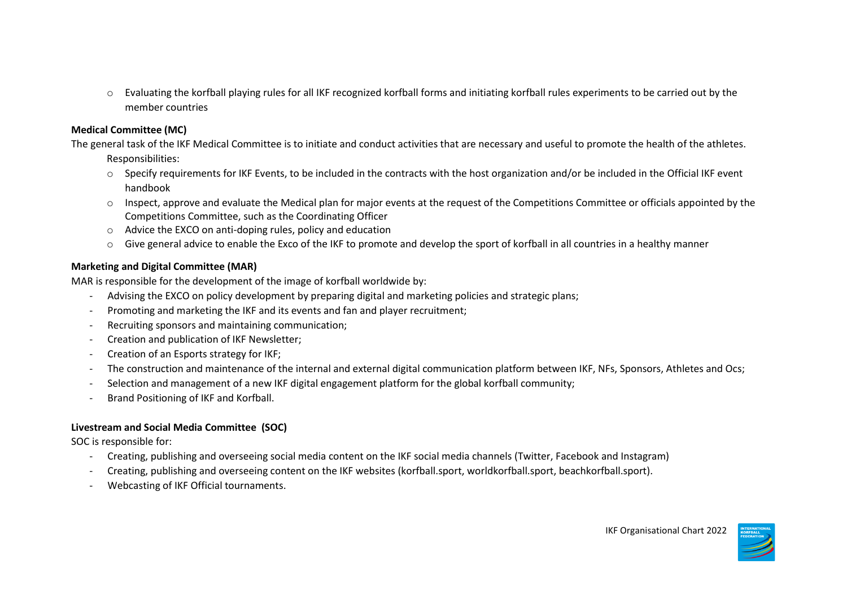o Evaluating the korfball playing rules for all IKF recognized korfball forms and initiating korfball rules experiments to be carried out by the member countries

## **Medical Committee (MC)**

The general task of the IKF Medical Committee is to initiate and conduct activities that are necessary and useful to promote the health of the athletes. Responsibilities:

- o Specify requirements for IKF Events, to be included in the contracts with the host organization and/or be included in the Official IKF event handbook
- $\circ$  Inspect, approve and evaluate the Medical plan for major events at the request of the Competitions Committee or officials appointed by the Competitions Committee, such as the Coordinating Officer
- o Advice the EXCO on anti-doping rules, policy and education
- o Give general advice to enable the Exco of the IKF to promote and develop the sport of korfball in all countries in a healthy manner

## **Marketing and Digital Committee (MAR)**

MAR is responsible for the development of the image of korfball worldwide by:

- Advising the EXCO on policy development by preparing digital and marketing policies and strategic plans;
- Promoting and marketing the IKF and its events and fan and player recruitment;
- Recruiting sponsors and maintaining communication;
- Creation and publication of IKF Newsletter;
- Creation of an Esports strategy for IKF;
- The construction and maintenance of the internal and external digital communication platform between IKF, NFs, Sponsors, Athletes and Ocs;
- Selection and management of a new IKF digital engagement platform for the global korfball community;
- Brand Positioning of IKF and Korfball.

# **Livestream and Social Media Committee (SOC)**

SOC is responsible for:

- Creating, publishing and overseeing social media content on the IKF social media channels (Twitter, Facebook and Instagram)
- Creating, publishing and overseeing content on the IKF websites (korfball.sport, worldkorfball.sport, beachkorfball.sport).
- Webcasting of IKF Official tournaments.